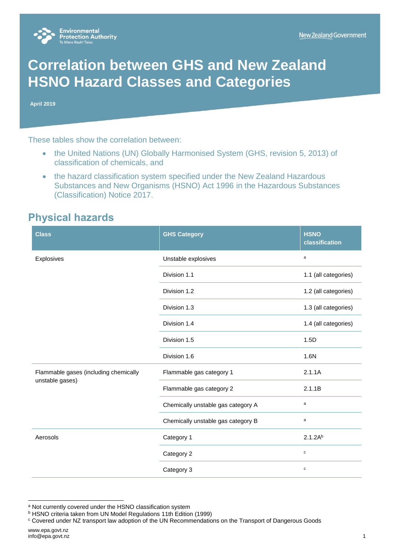

# **Correlation between GHS and New Zealand HSNO Hazard Classes and Categories**

**April 2019**

These tables show the correlation between:

- the United Nations (UN) Globally Harmonised System (GHS, revision 5, 2013) of classification of chemicals, and
- the hazard classification system specified under the New Zealand Hazardous Substances and New Organisms (HSNO) Act 1996 in the Hazardous Substances (Classification) Notice 2017.

#### **Physical hazards**

| <b>Class</b>                                             | <b>GHS Category</b>                | <b>HSNO</b><br>classification |
|----------------------------------------------------------|------------------------------------|-------------------------------|
| Explosives                                               | Unstable explosives                | $\mathsf{a}$                  |
|                                                          | Division 1.1                       | 1.1 (all categories)          |
|                                                          | Division 1.2                       | 1.2 (all categories)          |
|                                                          | Division 1.3                       | 1.3 (all categories)          |
|                                                          | Division 1.4                       | 1.4 (all categories)          |
|                                                          | Division 1.5                       | 1.5D                          |
|                                                          | Division 1.6                       | 1.6N                          |
| Flammable gases (including chemically<br>unstable gases) | Flammable gas category 1           | 2.1.1A                        |
|                                                          | Flammable gas category 2           | 2.1.1B                        |
|                                                          | Chemically unstable gas category A | a                             |
|                                                          | Chemically unstable gas category B | $\mathsf{a}$                  |
| Aerosols                                                 | Category 1                         | $2.1.2A^{b}$                  |
|                                                          | Category 2                         | $\mathbf c$                   |
|                                                          | Category 3                         | $\mathbf c$                   |

a Not currently covered under the HSNO classification system

l

**b HSNO criteria taken from UN Model Regulations 11th Edition (1999)** 

<sup>c</sup> Covered under NZ transport law adoption of the UN Recommendations on the Transport of Dangerous Goods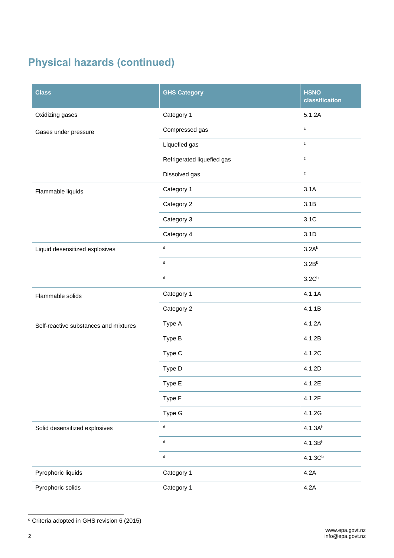## **Physical hazards (continued)**

| <b>Class</b>                          | <b>GHS Category</b>         | <b>HSNO</b><br>classification |
|---------------------------------------|-----------------------------|-------------------------------|
| Oxidizing gases                       | Category 1                  | 5.1.2A                        |
| Gases under pressure                  | Compressed gas              | $\mathbf c$                   |
|                                       | Liquefied gas               | $\mathbf c$                   |
|                                       | Refrigerated liquefied gas  | $\mathbf c$                   |
|                                       | Dissolved gas               | $\mathbf c$                   |
| Flammable liquids                     | Category 1                  | 3.1A                          |
|                                       | Category 2                  | 3.1B                          |
|                                       | Category 3                  | 3.1C                          |
|                                       | Category 4                  | 3.1D                          |
| Liquid desensitized explosives        | $\sf d$                     | 3.2A <sup>b</sup>             |
|                                       | $\sf d$                     | 3.2B <sup>b</sup>             |
|                                       | d                           | 3.2C <sup>b</sup>             |
| Flammable solids                      | Category 1                  | 4.1.1A                        |
|                                       | Category 2                  | 4.1.1B                        |
| Self-reactive substances and mixtures | Type A                      | 4.1.2A                        |
|                                       | Type B                      | 4.1.2B                        |
|                                       | Type C                      | 4.1.2C                        |
|                                       | Type D                      | 4.1.2D                        |
|                                       | Type E                      | 4.1.2E                        |
|                                       | Type F                      | 4.1.2F                        |
|                                       | Type G                      | 4.1.2G                        |
| Solid desensitized explosives         | $\operatorname{\mathsf{d}}$ | $4.1.3A^{b}$                  |
|                                       | ${\sf d}$                   | 4.1.3B <sup>b</sup>           |
|                                       | ${\sf d}$                   | 4.1.3C <sup>b</sup>           |
| Pyrophoric liquids                    | Category 1                  | 4.2A                          |
| Pyrophoric solids                     | Category 1                  | 4.2A                          |

<sup>&</sup>lt;sup>d</sup> Criteria adopted in GHS revision 6 (2015)

l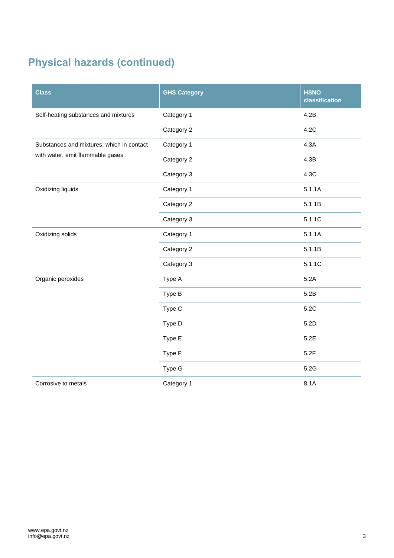## **Physical hazards (continued)**

| <b>Class</b>                                                                  | <b>GHS Category</b> | <b>HSNO</b><br>classification |
|-------------------------------------------------------------------------------|---------------------|-------------------------------|
| Self-heating substances and mixtures                                          | Category 1          | 4.2B                          |
|                                                                               | Category 2          | 4.2C                          |
| Substances and mixtures, which in contact<br>with water, emit flammable gases | Category 1          | 4.3A                          |
|                                                                               | Category 2          | 4.3B                          |
|                                                                               | Category 3          | 4.3C                          |
| Oxidizing liquids                                                             | Category 1          | 5.1.1A                        |
|                                                                               | Category 2          | 5.1.1B                        |
|                                                                               | Category 3          | 5.1.1C                        |
| Oxidizing solids                                                              | Category 1          | 5.1.1A                        |
|                                                                               | Category 2          | 5.1.1B                        |
|                                                                               | Category 3          | 5.1.1C                        |
| Organic peroxides                                                             | Type A              | 5.2A                          |
|                                                                               | Type B              | 5.2B                          |
|                                                                               | Type C              | 5.2C                          |
|                                                                               | Type D              | 5.2D                          |
|                                                                               | Type E              | 5.2E                          |
|                                                                               | Type F              | 5.2F                          |
|                                                                               | Type G              | 5.2G                          |
| Corrosive to metals                                                           | Category 1          | 8.1A                          |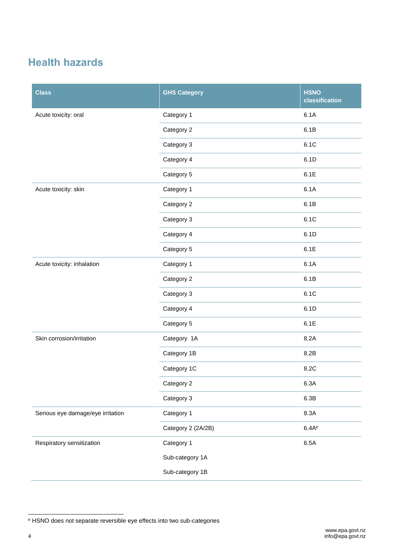#### **Health hazards**

| <b>Class</b>                      | <b>GHS Category</b> | <b>HSNO</b><br>classification |
|-----------------------------------|---------------------|-------------------------------|
| Acute toxicity: oral              | Category 1          | 6.1A                          |
|                                   | Category 2          | 6.1B                          |
|                                   | Category 3          | 6.1C                          |
|                                   | Category 4          | 6.1D                          |
|                                   | Category 5          | 6.1E                          |
| Acute toxicity: skin              | Category 1          | 6.1A                          |
|                                   | Category 2          | 6.1B                          |
|                                   | Category 3          | 6.1C                          |
|                                   | Category 4          | 6.1D                          |
|                                   | Category 5          | 6.1E                          |
| Acute toxicity: inhalation        | Category 1          | 6.1A                          |
|                                   | Category 2          | 6.1B                          |
|                                   | Category 3          | 6.1C                          |
|                                   | Category 4          | 6.1D                          |
|                                   | Category 5          | 6.1E                          |
| Skin corrosion/irritation         | Category 1A         | 8.2A                          |
|                                   | Category 1B         | 8.2B                          |
|                                   | Category 1C         | 8.2C                          |
|                                   | Category 2          | 6.3A                          |
|                                   | Category 3          | 6.3B                          |
| Serious eye damage/eye irritation | Category 1          | 8.3A                          |
|                                   | Category 2 (2A/2B)  | 6.4Ae                         |
| Respiratory sensitization         | Category 1          | 6.5A                          |
|                                   | Sub-category 1A     |                               |
|                                   | Sub-category 1B     |                               |

l

<sup>e</sup> HSNO does not separate reversible eye effects into two sub-categories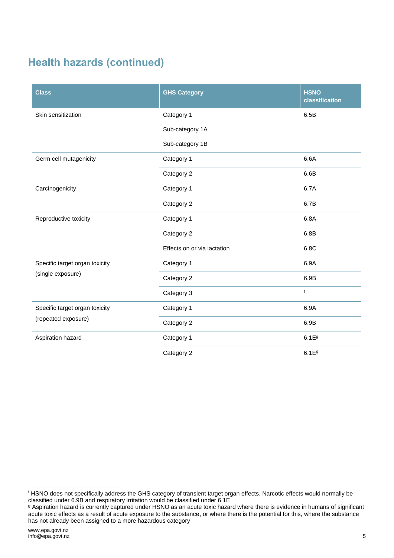### **Health hazards (continued)**

| <b>Class</b>                                          | <b>GHS Category</b>         | <b>HSNO</b><br>classification |
|-------------------------------------------------------|-----------------------------|-------------------------------|
| Skin sensitization                                    | Category 1                  | 6.5B                          |
|                                                       | Sub-category 1A             |                               |
|                                                       | Sub-category 1B             |                               |
| Germ cell mutagenicity                                | Category 1                  | 6.6A                          |
|                                                       | Category 2                  | 6.6B                          |
| Carcinogenicity                                       | Category 1                  | 6.7A                          |
|                                                       | Category 2                  | 6.7B                          |
| Reproductive toxicity                                 | Category 1                  | 6.8A                          |
|                                                       | Category 2                  | 6.8B                          |
|                                                       | Effects on or via lactation | 6.8C                          |
| Specific target organ toxicity<br>(single exposure)   | Category 1                  | 6.9A                          |
|                                                       | Category 2                  | 6.9B                          |
|                                                       | Category 3                  | f                             |
| Specific target organ toxicity<br>(repeated exposure) | Category 1                  | 6.9A                          |
|                                                       | Category 2                  | 6.9B                          |
| Aspiration hazard                                     | Category 1                  | 6.1E <sup>9</sup>             |
|                                                       | Category 2                  | 6.1E <sup>9</sup>             |

l <sup>f</sup> HSNO does not specifically address the GHS category of transient target organ effects. Narcotic effects would normally be classified under 6.9B and respiratory irritation would be classified under 6.1E

<sup>g</sup> Aspiration hazard is currently captured under HSNO as an acute toxic hazard where there is evidence in humans of significant acute toxic effects as a result of acute exposure to the substance, or where there is the potential for this, where the substance has not already been assigned to a more hazardous category